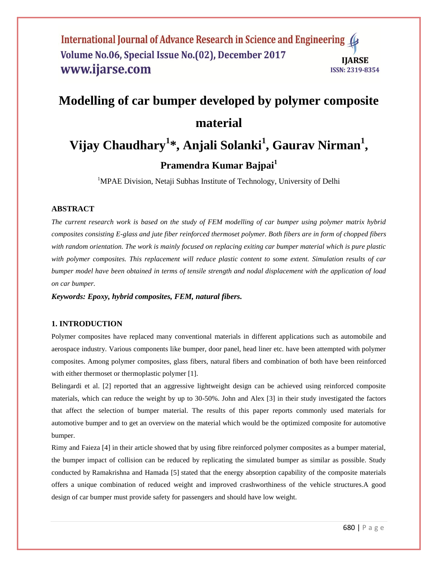#### International Journal of Advance Research in Science and Engineering ( Volume No.06, Special Issue No.(02), December 2017 **IIARSE** www.ijarse.com **ISSN: 2319-8354**

# **Modelling of car bumper developed by polymer composite material**

## **Vijay Chaudhary<sup>1</sup> \*, Anjali Solanki<sup>1</sup> , Gaurav Nirman<sup>1</sup> ,**

### **Pramendra Kumar Bajpai<sup>1</sup>**

<sup>1</sup>MPAE Division, Netaji Subhas Institute of Technology, University of Delhi

#### **ABSTRACT**

*The current research work is based on the study of FEM modelling of car bumper using polymer matrix hybrid composites consisting E-glass and jute fiber reinforced thermoset polymer. Both fibers are in form of chopped fibers with random orientation. The work is mainly focused on replacing exiting car bumper material which is pure plastic with polymer composites. This replacement will reduce plastic content to some extent. Simulation results of car bumper model have been obtained in terms of tensile strength and nodal displacement with the application of load on car bumper.*

*Keywords: Epoxy, hybrid composites, FEM, natural fibers.* 

#### **1. INTRODUCTION**

Polymer composites have replaced many conventional materials in different applications such as automobile and aerospace industry. Various components like bumper, door panel, head liner etc. have been attempted with polymer composites. Among polymer composites, glass fibers, natural fibers and combination of both have been reinforced with either thermoset or thermoplastic polymer [1].

Belingardi et al. [2] reported that an aggressive lightweight design can be achieved using reinforced composite materials, which can reduce the weight by up to 30-50%. John and Alex [3] in their study investigated the factors that affect the selection of bumper material. The results of this paper reports commonly used materials for automotive bumper and to get an overview on the material which would be the optimized composite for automotive bumper.

Rimy and Faieza [4] in their article showed that by using fibre reinforced polymer composites as a bumper material, the bumper impact of collision can be reduced by replicating the simulated bumper as similar as possible. Study conducted by Ramakrishna and Hamada [5] stated that the energy absorption capability of the composite materials offers a unique combination of reduced weight and improved crashworthiness of the vehicle structures.A good design of car bumper must provide safety for passengers and should have low weight.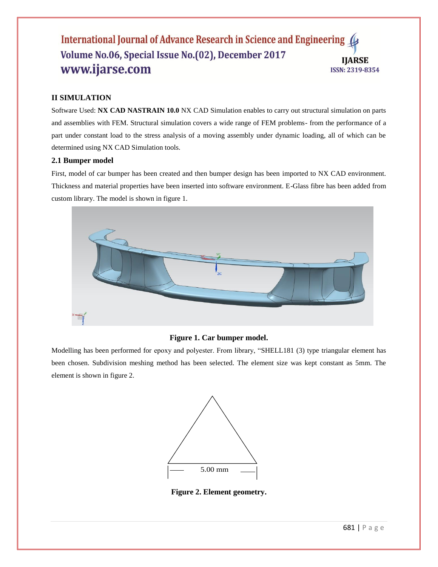#### International Journal of Advance Research in Science and Engineering ( Volume No.06, Special Issue No.(02), December 2017 **IIARSE** www.ijarse.com **ISSN: 2319-8354**

#### **II SIMULATION**

Software Used: **NX CAD NASTRAIN 10.0** NX CAD Simulation enables to carry out structural simulation on parts and assemblies with FEM. Structural simulation covers a wide range of FEM problems- from the performance of a part under constant load to the stress analysis of a moving assembly under dynamic loading, all of which can be determined using NX CAD Simulation tools.

#### **2.1 Bumper model**

First, model of car bumper has been created and then bumper design has been imported to NX CAD environment. Thickness and material properties have been inserted into software environment. E-Glass fibre has been added from custom library. The model is shown in figure 1.



#### **Figure 1. Car bumper model.**

Modelling has been performed for epoxy and polyester. From library, "SHELL181 (3) type triangular element has been chosen. Subdivision meshing method has been selected. The element size was kept constant as 5mm. The element is shown in figure 2.



**Figure 2. Element geometry.**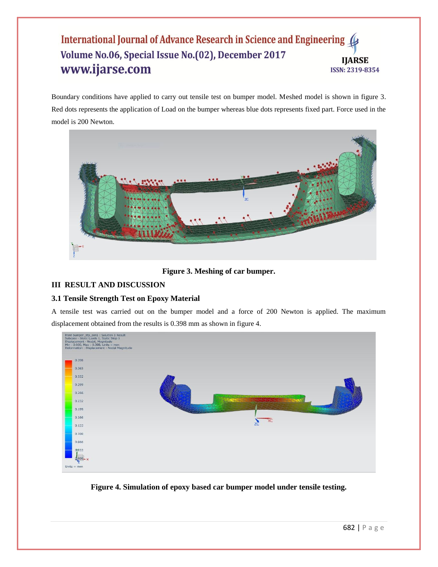#### International Journal of Advance Research in Science and Engineering 4 Volume No.06, Special Issue No.(02), December 2017 **IJARSE** www.ijarse.com **ISSN: 2319-8354**

Boundary conditions have applied to carry out tensile test on bumper model. Meshed model is shown in figure 3. Red dots represents the application of Load on the bumper whereas blue dots represents fixed part. Force used in the model is 200 Newton.



**Figure 3. Meshing of car bumper.**

#### **III RESULT AND DISCUSSION**

#### **3.1 Tensile Strength Test on Epoxy Material**

A tensile test was carried out on the bumper model and a force of 200 Newton is applied. The maximum displacement obtained from the results is 0.398 mm as shown in figure 4.



**Figure 4. Simulation of epoxy based car bumper model under tensile testing.**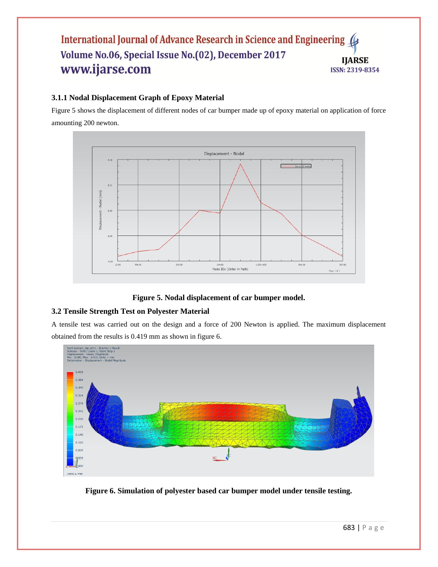#### International Journal of Advance Research in Science and Engineering Volume No.06, Special Issue No.(02), December 2017 **IJARSE** www.ijarse.com **ISSN: 2319-8354**

#### **3.1.1 Nodal Displacement Graph of Epoxy Material**

Figure 5 shows the displacement of different nodes of car bumper made up of epoxy material on application of force amounting 200 newton.



#### **Figure 5. Nodal displacement of car bumper model.**

#### **3.2 Tensile Strength Test on Polyester Material**

A tensile test was carried out on the design and a force of 200 Newton is applied. The maximum displacement obtained from the results is 0.419 mm as shown in figure 6.



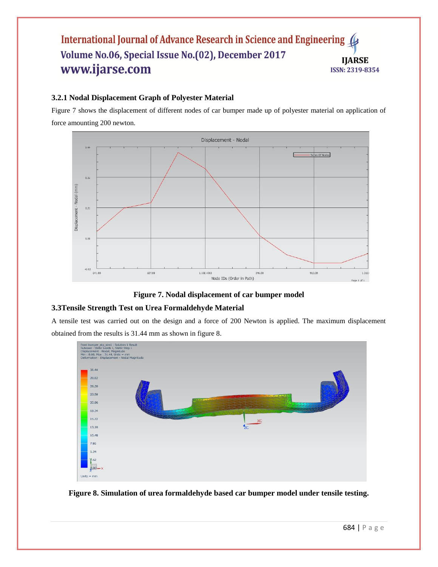#### International Journal of Advance Research in Science and Engineering ( Volume No.06, Special Issue No.(02), December 2017 **IJARSE** www.ijarse.com **ISSN: 2319-8354**

#### **3.2.1 Nodal Displacement Graph of Polyester Material**

Figure 7 shows the displacement of different nodes of car bumper made up of polyester material on application of force amounting 200 newton.





#### **3.3Tensile Strength Test on Urea Formaldehyde Material**

A tensile test was carried out on the design and a force of 200 Newton is applied. The maximum displacement obtained from the results is 31.44 mm as shown in figure 8.



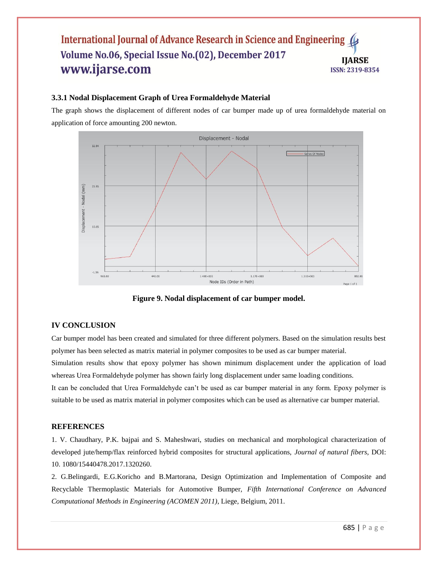#### International Journal of Advance Research in Science and Engineering Volume No.06, Special Issue No.(02), December 2017 **IIARSE** www.ijarse.com **ISSN: 2319-8354**

#### **3.3.1 Nodal Displacement Graph of Urea Formaldehyde Material**

The graph shows the displacement of different nodes of car bumper made up of urea formaldehyde material on application of force amounting 200 newton.



**Figure 9. Nodal displacement of car bumper model.**

#### **IV CONCLUSION**

Car bumper model has been created and simulated for three different polymers. Based on the simulation results best polymer has been selected as matrix material in polymer composites to be used as car bumper material.

Simulation results show that epoxy polymer has shown minimum displacement under the application of load whereas Urea Formaldehyde polymer has shown fairly long displacement under same loading conditions.

It can be concluded that Urea Formaldehyde can't be used as car bumper material in any form. Epoxy polymer is suitable to be used as matrix material in polymer composites which can be used as alternative car bumper material.

#### **REFERENCES**

1. V. Chaudhary, P.K. bajpai and S. Maheshwari, studies on mechanical and morphological characterization of developed jute/hemp/flax reinforced hybrid composites for structural applications, *Journal of natural fibers*, DOI: 10. 1080/15440478.2017.1320260.

2. G.Belingardi, E.G.Koricho and B.Martorana, Design Optimization and Implementation of Composite and Recyclable Thermoplastic Materials for Automotive Bumper, *Fifth International Conference on Advanced Computational Methods in Engineering (ACOMEN 2011)*, Liege, Belgium, 2011.